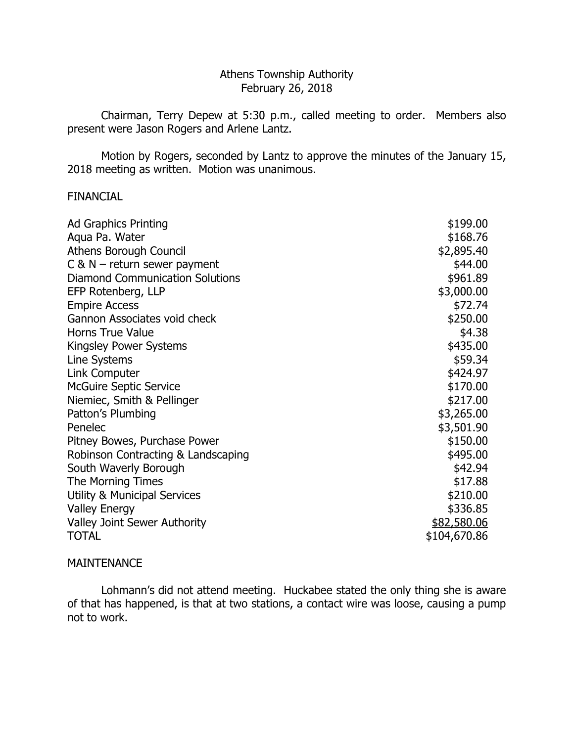# Athens Township Authority February 26, 2018

 Chairman, Terry Depew at 5:30 p.m., called meeting to order. Members also present were Jason Rogers and Arlene Lantz.

 Motion by Rogers, seconded by Lantz to approve the minutes of the January 15, 2018 meeting as written. Motion was unanimous.

## FINANCIAL

| <b>Ad Graphics Printing</b>             | \$199.00     |
|-----------------------------------------|--------------|
| Aqua Pa. Water                          | \$168.76     |
| <b>Athens Borough Council</b>           | \$2,895.40   |
| $C$ & N – return sewer payment          | \$44.00      |
| <b>Diamond Communication Solutions</b>  | \$961.89     |
| EFP Rotenberg, LLP                      | \$3,000.00   |
| <b>Empire Access</b>                    | \$72.74      |
| Gannon Associates void check            | \$250.00     |
| <b>Horns True Value</b>                 | \$4.38       |
| <b>Kingsley Power Systems</b>           | \$435.00     |
| Line Systems                            | \$59.34      |
| Link Computer                           | \$424.97     |
| <b>McGuire Septic Service</b>           | \$170.00     |
| Niemiec, Smith & Pellinger              | \$217.00     |
| Patton's Plumbing                       | \$3,265.00   |
| Penelec                                 | \$3,501.90   |
| Pitney Bowes, Purchase Power            | \$150.00     |
| Robinson Contracting & Landscaping      | \$495.00     |
| South Waverly Borough                   | \$42.94      |
| The Morning Times                       | \$17.88      |
| <b>Utility &amp; Municipal Services</b> | \$210.00     |
| <b>Valley Energy</b>                    | \$336.85     |
| <b>Valley Joint Sewer Authority</b>     | \$82,580.06  |
| <b>TOTAL</b>                            | \$104,670.86 |

## MAINTENANCE

Lohmann's did not attend meeting. Huckabee stated the only thing she is aware of that has happened, is that at two stations, a contact wire was loose, causing a pump not to work.